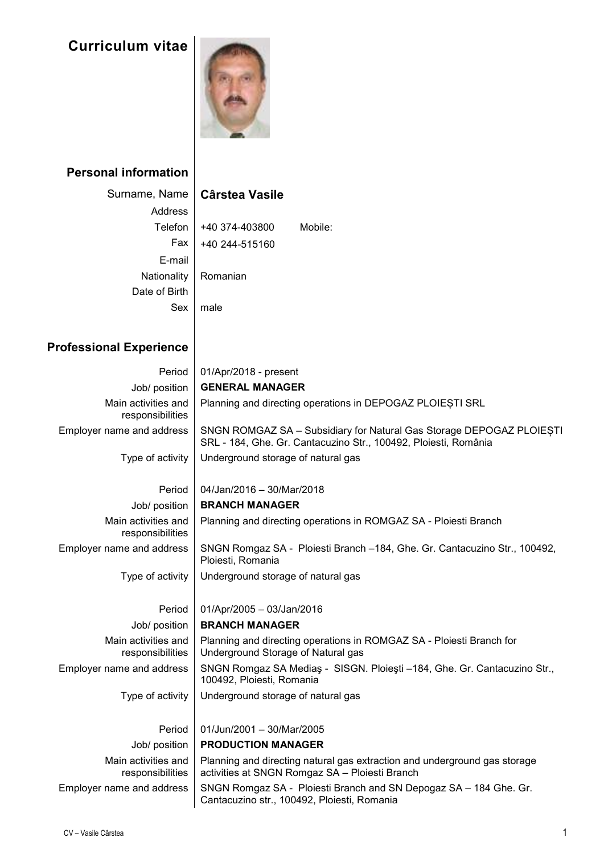## **Curriculum vitae**



## **Personal information**

## Surname, Name **Cârstea Vasile**

| Address       |                |         |
|---------------|----------------|---------|
| Telefon       | +40 374-403800 | Mobile: |
| Fax           | +40 244-515160 |         |
| E-mail        |                |         |
| Nationality   | Romanian       |         |
| Date of Birth |                |         |
| Sex           | male           |         |
|               |                |         |

## **Professional Experience**

| Period                                  | 01/Apr/2018 - present                                                                                                                   |  |  |  |  |
|-----------------------------------------|-----------------------------------------------------------------------------------------------------------------------------------------|--|--|--|--|
| Job/ position                           | <b>GENERAL MANAGER</b>                                                                                                                  |  |  |  |  |
| Main activities and<br>responsibilities | Planning and directing operations in DEPOGAZ PLOIESTI SRL                                                                               |  |  |  |  |
| Employer name and address               | SNGN ROMGAZ SA - Subsidiary for Natural Gas Storage DEPOGAZ PLOIESTI<br>SRL - 184, Ghe. Gr. Cantacuzino Str., 100492, Ploiesti, România |  |  |  |  |
| Type of activity                        | Underground storage of natural gas                                                                                                      |  |  |  |  |
| Period                                  | 04/Jan/2016 - 30/Mar/2018                                                                                                               |  |  |  |  |
| Job/ position                           | <b>BRANCH MANAGER</b>                                                                                                                   |  |  |  |  |
| Main activities and<br>responsibilities | Planning and directing operations in ROMGAZ SA - Ploiesti Branch                                                                        |  |  |  |  |
| Employer name and address               | SNGN Romgaz SA - Ploiesti Branch -184, Ghe. Gr. Cantacuzino Str., 100492,<br>Ploiesti, Romania                                          |  |  |  |  |
| Type of activity                        | Underground storage of natural gas                                                                                                      |  |  |  |  |
| Period                                  | 01/Apr/2005 - 03/Jan/2016                                                                                                               |  |  |  |  |
| Job/ position                           | <b>BRANCH MANAGER</b>                                                                                                                   |  |  |  |  |
| Main activities and<br>responsibilities | Planning and directing operations in ROMGAZ SA - Ploiesti Branch for<br>Underground Storage of Natural gas                              |  |  |  |  |
| Employer name and address               | SNGN Romgaz SA Medias - SISGN. Ploiesti -184, Ghe. Gr. Cantacuzino Str.,<br>100492, Ploiesti, Romania                                   |  |  |  |  |
| Type of activity                        | Underground storage of natural gas                                                                                                      |  |  |  |  |
| Period                                  | 01/Jun/2001 - 30/Mar/2005                                                                                                               |  |  |  |  |
| Job/ position                           | <b>PRODUCTION MANAGER</b>                                                                                                               |  |  |  |  |
| Main activities and<br>responsibilities | Planning and directing natural gas extraction and underground gas storage<br>activities at SNGN Romgaz SA - Ploiesti Branch             |  |  |  |  |
| Employer name and address               | SNGN Romgaz SA - Ploiesti Branch and SN Depogaz SA - 184 Ghe. Gr.<br>Cantacuzino str., 100492, Ploiesti, Romania                        |  |  |  |  |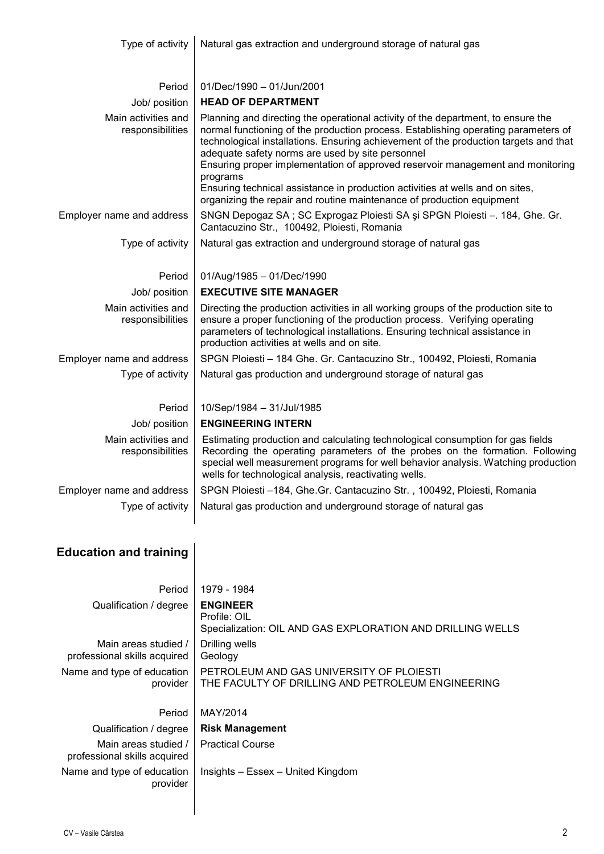| Type of activity                        | Natural gas extraction and underground storage of natural gas                                                                                                                                                                                                                                                                                                                                                                                                                                                                                                              |  |  |  |  |
|-----------------------------------------|----------------------------------------------------------------------------------------------------------------------------------------------------------------------------------------------------------------------------------------------------------------------------------------------------------------------------------------------------------------------------------------------------------------------------------------------------------------------------------------------------------------------------------------------------------------------------|--|--|--|--|
| Period                                  | 01/Dec/1990 - 01/Jun/2001                                                                                                                                                                                                                                                                                                                                                                                                                                                                                                                                                  |  |  |  |  |
| Job/ position                           | <b>HEAD OF DEPARTMENT</b>                                                                                                                                                                                                                                                                                                                                                                                                                                                                                                                                                  |  |  |  |  |
| Main activities and<br>responsibilities | Planning and directing the operational activity of the department, to ensure the<br>normal functioning of the production process. Establishing operating parameters of<br>technological installations. Ensuring achievement of the production targets and that<br>adequate safety norms are used by site personnel<br>Ensuring proper implementation of approved reservoir management and monitoring<br>programs<br>Ensuring technical assistance in production activities at wells and on sites,<br>organizing the repair and routine maintenance of production equipment |  |  |  |  |
| Employer name and address               | SNGN Depogaz SA; SC Exprogaz Ploiesti SA și SPGN Ploiesti - 184, Ghe. Gr.<br>Cantacuzino Str., 100492, Ploiesti, Romania                                                                                                                                                                                                                                                                                                                                                                                                                                                   |  |  |  |  |
| Type of activity                        | Natural gas extraction and underground storage of natural gas                                                                                                                                                                                                                                                                                                                                                                                                                                                                                                              |  |  |  |  |
| Period                                  | 01/Aug/1985 - 01/Dec/1990                                                                                                                                                                                                                                                                                                                                                                                                                                                                                                                                                  |  |  |  |  |
| Job/ position                           | <b>EXECUTIVE SITE MANAGER</b>                                                                                                                                                                                                                                                                                                                                                                                                                                                                                                                                              |  |  |  |  |
| Main activities and<br>responsibilities | Directing the production activities in all working groups of the production site to<br>ensure a proper functioning of the production process. Verifying operating<br>parameters of technological installations. Ensuring technical assistance in<br>production activities at wells and on site.                                                                                                                                                                                                                                                                            |  |  |  |  |
| Employer name and address               | SPGN Ploiesti - 184 Ghe. Gr. Cantacuzino Str., 100492, Ploiesti, Romania                                                                                                                                                                                                                                                                                                                                                                                                                                                                                                   |  |  |  |  |
| Type of activity                        | Natural gas production and underground storage of natural gas                                                                                                                                                                                                                                                                                                                                                                                                                                                                                                              |  |  |  |  |
| Period                                  | 10/Sep/1984 - 31/Jul/1985                                                                                                                                                                                                                                                                                                                                                                                                                                                                                                                                                  |  |  |  |  |
| Job/ position                           | <b>ENGINEERING INTERN</b>                                                                                                                                                                                                                                                                                                                                                                                                                                                                                                                                                  |  |  |  |  |
| Main activities and<br>responsibilities | Estimating production and calculating technological consumption for gas fields<br>Recording the operating parameters of the probes on the formation. Following<br>special well measurement programs for well behavior analysis. Watching production<br>wells for technological analysis, reactivating wells.                                                                                                                                                                                                                                                               |  |  |  |  |
| Employer name and address               | SPGN Ploiesti -184, Ghe.Gr. Cantacuzino Str., 100492, Ploiesti, Romania                                                                                                                                                                                                                                                                                                                                                                                                                                                                                                    |  |  |  |  |
| Type of activity                        | Natural gas production and underground storage of natural gas                                                                                                                                                                                                                                                                                                                                                                                                                                                                                                              |  |  |  |  |
| <b>Education and training</b>           |                                                                                                                                                                                                                                                                                                                                                                                                                                                                                                                                                                            |  |  |  |  |

| Period                                               | 1979 - 1984                                                                                   |
|------------------------------------------------------|-----------------------------------------------------------------------------------------------|
| Qualification / degree                               | <b>ENGINEER</b><br>Profile: OIL<br>Specialization: OIL AND GAS EXPLORATION AND DRILLING WELLS |
| Main areas studied /<br>professional skills acquired | Drilling wells<br>Geology                                                                     |
| Name and type of education<br>provider               | PETROLEUM AND GAS UNIVERSITY OF PLOIESTI<br>THE FACULTY OF DRILLING AND PETROLEUM ENGINEERING |
| Period                                               | MAY/2014                                                                                      |
| Qualification / degree                               | <b>Risk Management</b>                                                                        |
| Main areas studied /<br>professional skills acquired | <b>Practical Course</b>                                                                       |
| Name and type of education<br>provider               | Insights – Essex – United Kingdom                                                             |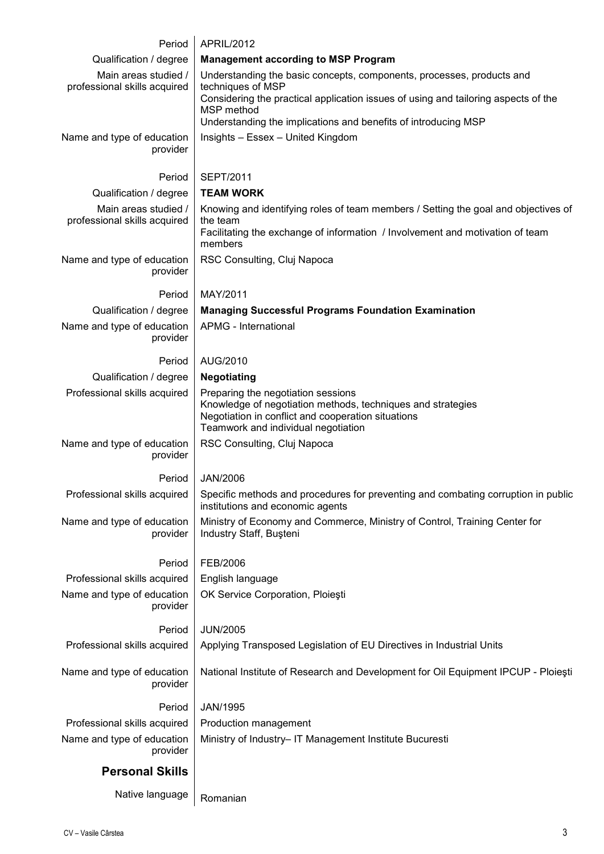| Period                                         | APRIL/2012                                                                                                            |  |  |  |  |  |
|------------------------------------------------|-----------------------------------------------------------------------------------------------------------------------|--|--|--|--|--|
| Qualification / degree                         | <b>Management according to MSP Program</b>                                                                            |  |  |  |  |  |
| Main areas studied /                           | Understanding the basic concepts, components, processes, products and                                                 |  |  |  |  |  |
| professional skills acquired                   | techniques of MSP<br>Considering the practical application issues of using and tailoring aspects of the               |  |  |  |  |  |
|                                                | MSP method                                                                                                            |  |  |  |  |  |
| Name and type of education                     | Understanding the implications and benefits of introducing MSP<br>Insights - Essex - United Kingdom                   |  |  |  |  |  |
| provider                                       |                                                                                                                       |  |  |  |  |  |
|                                                |                                                                                                                       |  |  |  |  |  |
| Period                                         | <b>SEPT/2011</b><br><b>TEAM WORK</b>                                                                                  |  |  |  |  |  |
| Qualification / degree<br>Main areas studied / | Knowing and identifying roles of team members / Setting the goal and objectives of                                    |  |  |  |  |  |
| professional skills acquired                   | the team                                                                                                              |  |  |  |  |  |
|                                                | Facilitating the exchange of information / Involvement and motivation of team<br>members                              |  |  |  |  |  |
| Name and type of education                     | RSC Consulting, Cluj Napoca                                                                                           |  |  |  |  |  |
| provider                                       |                                                                                                                       |  |  |  |  |  |
| Period                                         | MAY/2011                                                                                                              |  |  |  |  |  |
| Qualification / degree                         | <b>Managing Successful Programs Foundation Examination</b>                                                            |  |  |  |  |  |
| Name and type of education                     | <b>APMG - International</b>                                                                                           |  |  |  |  |  |
| provider                                       |                                                                                                                       |  |  |  |  |  |
| Period                                         | AUG/2010                                                                                                              |  |  |  |  |  |
| Qualification / degree                         | <b>Negotiating</b>                                                                                                    |  |  |  |  |  |
| Professional skills acquired                   | Preparing the negotiation sessions<br>Knowledge of negotiation methods, techniques and strategies                     |  |  |  |  |  |
|                                                | Negotiation in conflict and cooperation situations<br>Teamwork and individual negotiation                             |  |  |  |  |  |
| Name and type of education                     | RSC Consulting, Cluj Napoca                                                                                           |  |  |  |  |  |
| provider                                       |                                                                                                                       |  |  |  |  |  |
| Period                                         | <b>JAN/2006</b>                                                                                                       |  |  |  |  |  |
| Professional skills acquired                   | Specific methods and procedures for preventing and combating corruption in public<br>institutions and economic agents |  |  |  |  |  |
| Name and type of education<br>provider         | Ministry of Economy and Commerce, Ministry of Control, Training Center for<br>Industry Staff, Buşteni                 |  |  |  |  |  |
|                                                |                                                                                                                       |  |  |  |  |  |
| Period                                         | FEB/2006                                                                                                              |  |  |  |  |  |
| Professional skills acquired                   | English language                                                                                                      |  |  |  |  |  |
| Name and type of education<br>provider         | OK Service Corporation, Ploiești                                                                                      |  |  |  |  |  |
|                                                |                                                                                                                       |  |  |  |  |  |
| Period                                         | <b>JUN/2005</b>                                                                                                       |  |  |  |  |  |
| Professional skills acquired                   | Applying Transposed Legislation of EU Directives in Industrial Units                                                  |  |  |  |  |  |
| Name and type of education                     | National Institute of Research and Development for Oil Equipment IPCUP - Ploiești                                     |  |  |  |  |  |
| provider                                       |                                                                                                                       |  |  |  |  |  |
| Period                                         | JAN/1995                                                                                                              |  |  |  |  |  |
| Professional skills acquired                   | Production management                                                                                                 |  |  |  |  |  |
| Name and type of education<br>provider         | Ministry of Industry- IT Management Institute Bucuresti                                                               |  |  |  |  |  |
| <b>Personal Skills</b>                         |                                                                                                                       |  |  |  |  |  |
|                                                |                                                                                                                       |  |  |  |  |  |
| Native language                                | Romanian                                                                                                              |  |  |  |  |  |